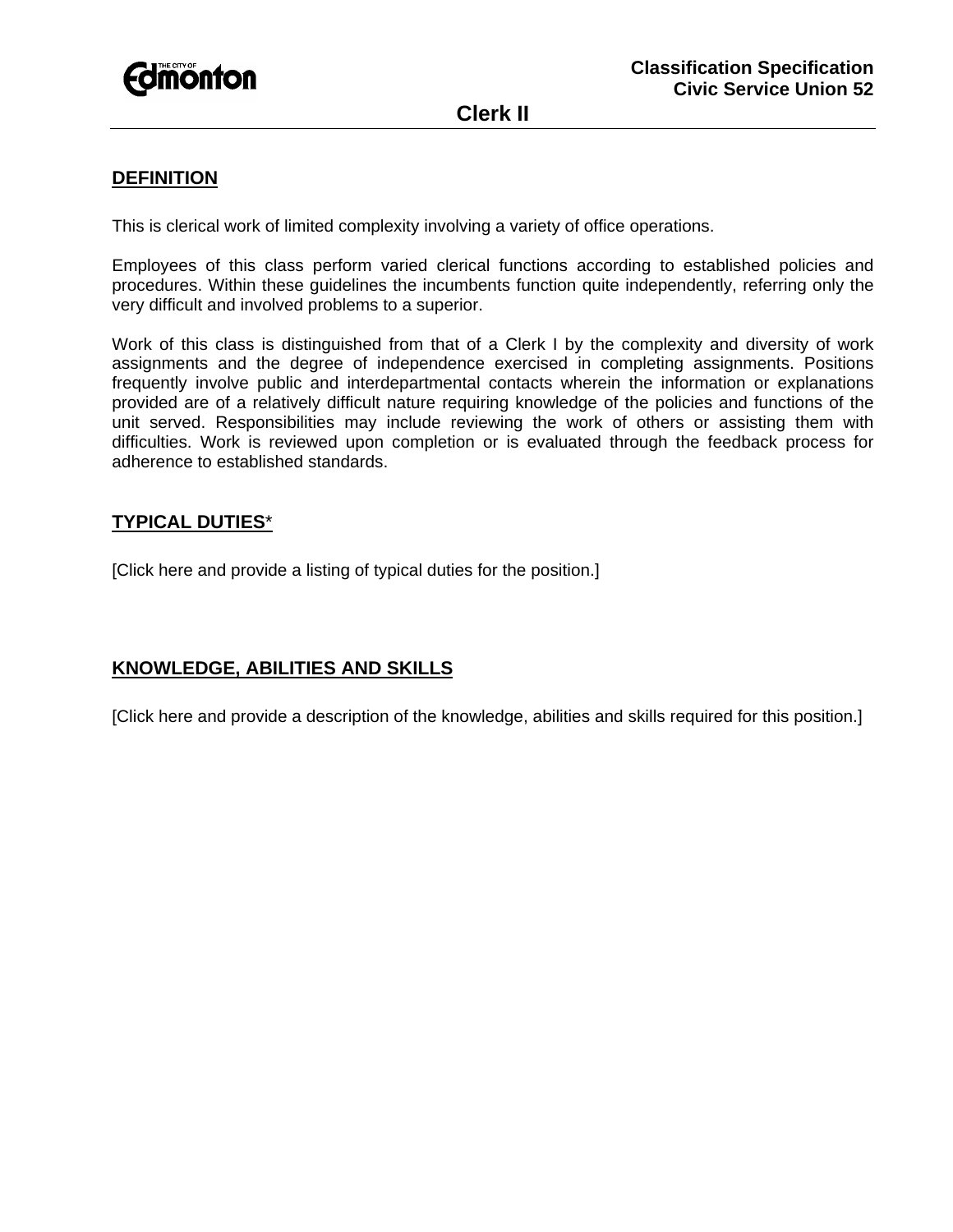

**Clerk II** 

## **DEFINITION**

This is clerical work of limited complexity involving a variety of office operations.

Employees of this class perform varied clerical functions according to established policies and procedures. Within these guidelines the incumbents function quite independently, referring only the very difficult and involved problems to a superior.

Work of this class is distinguished from that of a Clerk I by the complexity and diversity of work assignments and the degree of independence exercised in completing assignments. Positions frequently involve public and interdepartmental contacts wherein the information or explanations provided are of a relatively difficult nature requiring knowledge of the policies and functions of the unit served. Responsibilities may include reviewing the work of others or assisting them with difficulties. Work is reviewed upon completion or is evaluated through the feedback process for adherence to established standards.

### **TYPICAL DUTIES**\*

[Click here and provide a listing of typical duties for the position.]

### **KNOWLEDGE, ABILITIES AND SKILLS**

[Click here and provide a description of the knowledge, abilities and skills required for this position.]